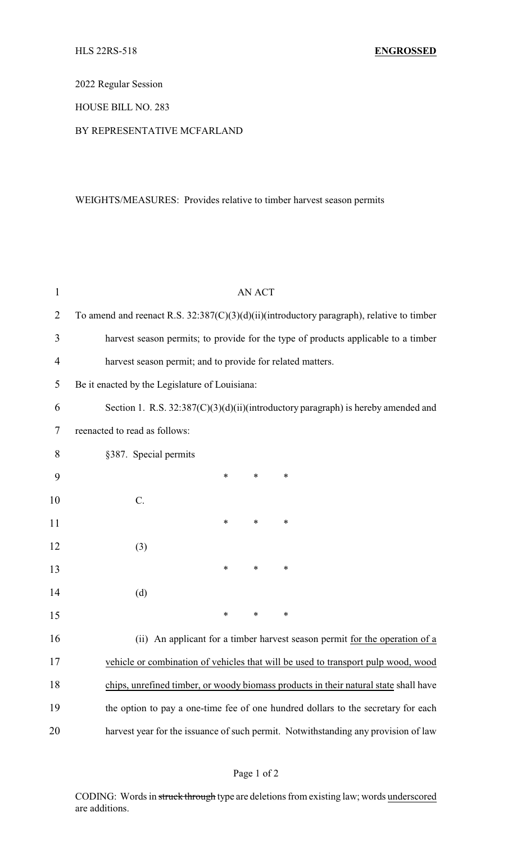2022 Regular Session

HOUSE BILL NO. 283

## BY REPRESENTATIVE MCFARLAND

## WEIGHTS/MEASURES: Provides relative to timber harvest season permits

| <b>AN ACT</b>                                                                                               |  |  |
|-------------------------------------------------------------------------------------------------------------|--|--|
| To amend and reenact R.S. 32:387(C)(3)(d)(ii)(introductory paragraph), relative to timber<br>$\overline{2}$ |  |  |
| 3<br>harvest season permits; to provide for the type of products applicable to a timber                     |  |  |
| $\overline{4}$<br>harvest season permit; and to provide for related matters.                                |  |  |
| 5<br>Be it enacted by the Legislature of Louisiana:                                                         |  |  |
| Section 1. R.S. 32:387(C)(3)(d)(ii)(introductory paragraph) is hereby amended and<br>6                      |  |  |
| reenacted to read as follows:                                                                               |  |  |
| §387. Special permits                                                                                       |  |  |
| *<br>*<br>∗                                                                                                 |  |  |
| C.                                                                                                          |  |  |
| ∗<br>*<br>∗                                                                                                 |  |  |
| (3)                                                                                                         |  |  |
| *<br>*<br>∗                                                                                                 |  |  |
| (d)                                                                                                         |  |  |
| $\ast$<br>$\ast$<br>*                                                                                       |  |  |
| 16<br>(ii) An applicant for a timber harvest season permit for the operation of a                           |  |  |
| 17<br>vehicle or combination of vehicles that will be used to transport pulp wood, wood                     |  |  |
| 18<br>chips, unrefined timber, or woody biomass products in their natural state shall have                  |  |  |
| the option to pay a one-time fee of one hundred dollars to the secretary for each                           |  |  |
| 20<br>harvest year for the issuance of such permit. Notwithstanding any provision of law                    |  |  |
|                                                                                                             |  |  |

CODING: Words in struck through type are deletions from existing law; words underscored are additions.